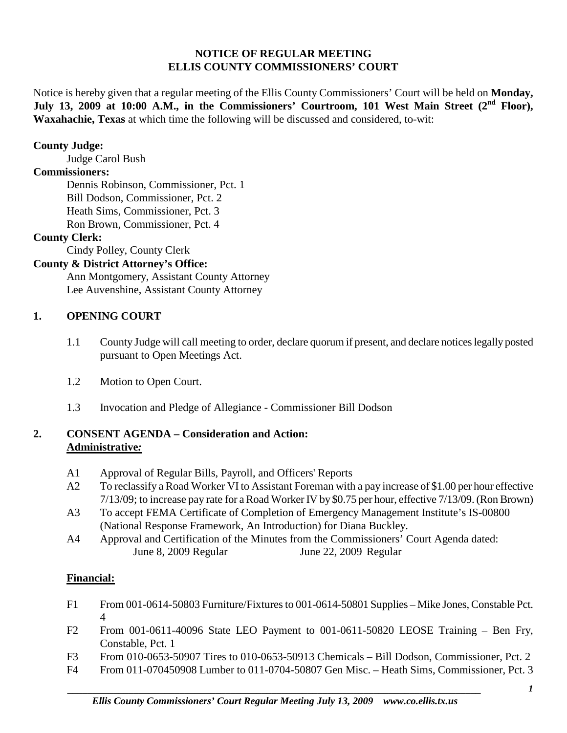### **NOTICE OF REGULAR MEETING ELLIS COUNTY COMMISSIONERS' COURT**

Notice is hereby given that a regular meeting of the Ellis County Commissioners' Court will be held on **Monday,**  July 13, 2009 at 10:00 A.M., in the Commissioners' Courtroom, 101 West Main Street (2<sup>nd</sup> Floor), **Waxahachie, Texas** at which time the following will be discussed and considered, to-wit:

### **County Judge:**

Judge Carol Bush

# **Commissioners:**

Dennis Robinson, Commissioner, Pct. 1 Bill Dodson, Commissioner, Pct. 2 Heath Sims, Commissioner, Pct. 3 Ron Brown, Commissioner, Pct. 4

# **County Clerk:**

Cindy Polley, County Clerk

# **County & District Attorney's Office:**

Ann Montgomery, Assistant County Attorney Lee Auvenshine, Assistant County Attorney

# **1. OPENING COURT**

- 1.1 County Judge will call meeting to order, declare quorum if present, and declare notices legally posted pursuant to Open Meetings Act.
- 1.2 Motion to Open Court.
- 1.3 Invocation and Pledge of Allegiance Commissioner Bill Dodson

# **2. CONSENT AGENDA – Consideration and Action: Administrative***:*

- A1 Approval of Regular Bills, Payroll, and Officers' Reports
- A2 To reclassify a Road Worker VI to Assistant Foreman with a pay increase of \$1.00 per hour effective 7/13/09; to increase pay rate for a Road Worker IV by \$0.75 per hour, effective 7/13/09. (Ron Brown)
- A3 To accept FEMA Certificate of Completion of Emergency Management Institute's IS-00800 (National Response Framework, An Introduction) for Diana Buckley.
- A4 Approval and Certification of the Minutes from the Commissioners' Court Agenda dated: June 8, 2009 Regular June 22, 2009 Regular

# **Financial:**

- F1 From 001-0614-50803 Furniture/Fixtures to 001-0614-50801 Supplies Mike Jones, Constable Pct. 4
- F2 From 001-0611-40096 State LEO Payment to 001-0611-50820 LEOSE Training Ben Fry, Constable, Pct. 1
- F3 From 010-0653-50907 Tires to 010-0653-50913 Chemicals Bill Dodson, Commissioner, Pct. 2
- F4 From 011-070450908 Lumber to 011-0704-50807 Gen Misc. Heath Sims, Commissioner, Pct. 3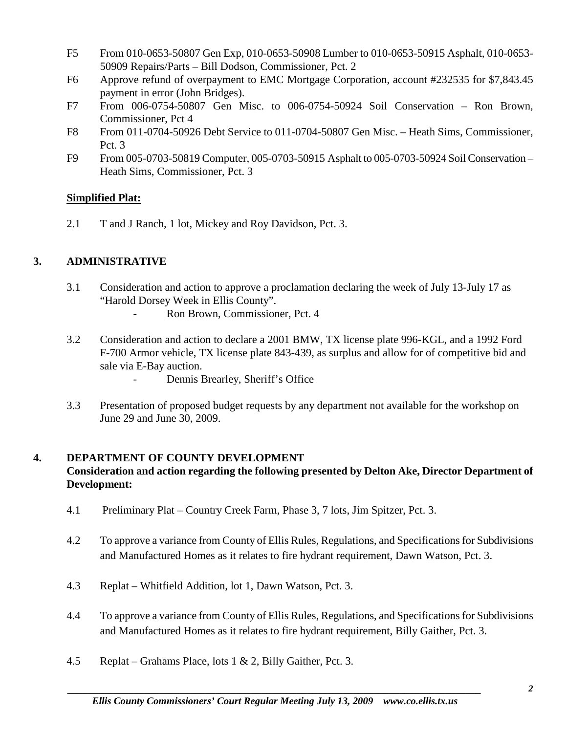- F5 From 010-0653-50807 Gen Exp, 010-0653-50908 Lumber to 010-0653-50915 Asphalt, 010-0653- 50909 Repairs/Parts – Bill Dodson, Commissioner, Pct. 2
- F6 Approve refund of overpayment to EMC Mortgage Corporation, account #232535 for \$7,843.45 payment in error (John Bridges).
- F7 From 006-0754-50807 Gen Misc. to 006-0754-50924 Soil Conservation Ron Brown, Commissioner, Pct 4
- F8 From 011-0704-50926 Debt Service to 011-0704-50807 Gen Misc. Heath Sims, Commissioner, Pct. 3
- F9 From 005-0703-50819 Computer, 005-0703-50915 Asphalt to 005-0703-50924 Soil Conservation Heath Sims, Commissioner, Pct. 3

# **Simplified Plat:**

2.1 T and J Ranch, 1 lot, Mickey and Roy Davidson, Pct. 3.

# **3. ADMINISTRATIVE**

- 3.1 Consideration and action to approve a proclamation declaring the week of July 13-July 17 as "Harold Dorsey Week in Ellis County".
	- Ron Brown, Commissioner, Pct. 4
- 3.2 Consideration and action to declare a 2001 BMW, TX license plate 996-KGL, and a 1992 Ford F-700 Armor vehicle, TX license plate 843-439, as surplus and allow for of competitive bid and sale via E-Bay auction.
	- Dennis Brearley, Sheriff's Office
- 3.3 Presentation of proposed budget requests by any department not available for the workshop on June 29 and June 30, 2009.

# **4. DEPARTMENT OF COUNTY DEVELOPMENT**

# **Consideration and action regarding the following presented by Delton Ake, Director Department of Development:**

- 4.1 Preliminary Plat Country Creek Farm, Phase 3, 7 lots, Jim Spitzer, Pct. 3.
- 4.2 To approve a variance from County of Ellis Rules, Regulations, and Specifications for Subdivisions and Manufactured Homes as it relates to fire hydrant requirement, Dawn Watson, Pct. 3.
- 4.3 Replat Whitfield Addition, lot 1, Dawn Watson, Pct. 3.
- 4.4 To approve a variance from County of Ellis Rules, Regulations, and Specifications for Subdivisions and Manufactured Homes as it relates to fire hydrant requirement, Billy Gaither, Pct. 3.
- 4.5 Replat Grahams Place, lots 1 & 2, Billy Gaither, Pct. 3.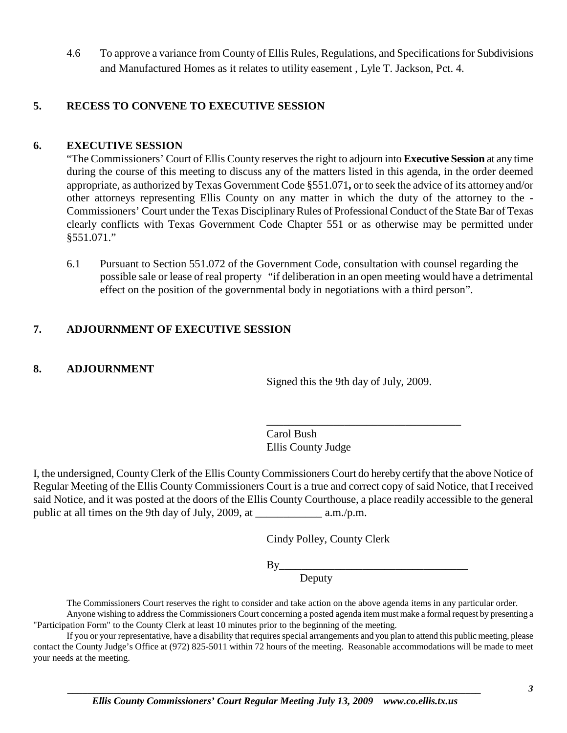4.6 To approve a variance from County of Ellis Rules, Regulations, and Specifications for Subdivisions and Manufactured Homes as it relates to utility easement , Lyle T. Jackson, Pct. 4.

### **5. RECESS TO CONVENE TO EXECUTIVE SESSION**

### **6. EXECUTIVE SESSION**

"The Commissioners' Court of Ellis County reserves the right to adjourn into **Executive Session** at any time during the course of this meeting to discuss any of the matters listed in this agenda, in the order deemed appropriate, as authorized by Texas Government Code §551.071**,** or to seek the advice of its attorney and/or other attorneys representing Ellis County on any matter in which the duty of the attorney to the - Commissioners' Court under the Texas Disciplinary Rules of Professional Conduct of the State Bar of Texas clearly conflicts with Texas Government Code Chapter 551 or as otherwise may be permitted under §551.071."

6.1 Pursuant to Section 551.072 of the Government Code, consultation with counsel regarding the possible sale or lease of real property "if deliberation in an open meeting would have a detrimental effect on the position of the governmental body in negotiations with a third person".

# **7. ADJOURNMENT OF EXECUTIVE SESSION**

### **8. ADJOURNMENT**

Signed this the 9th day of July, 2009.

\_\_\_\_\_\_\_\_\_\_\_\_\_\_\_\_\_\_\_\_\_\_\_\_\_\_\_\_\_\_\_\_\_\_\_

Carol Bush Ellis County Judge

I, the undersigned, County Clerk of the Ellis County Commissioners Court do hereby certify that the above Notice of Regular Meeting of the Ellis County Commissioners Court is a true and correct copy of said Notice, that I received said Notice, and it was posted at the doors of the Ellis County Courthouse, a place readily accessible to the general public at all times on the 9th day of July, 2009, at \_\_\_\_\_\_\_\_\_\_\_\_ a.m./p.m.

Cindy Polley, County Clerk

By\_\_\_\_\_\_\_\_\_\_\_\_\_\_\_\_\_\_\_\_\_\_\_\_\_\_\_\_\_\_\_\_\_\_

Deputy

The Commissioners Court reserves the right to consider and take action on the above agenda items in any particular order.

Anyone wishing to address the Commissioners Court concerning a posted agenda item must make a formal request by presenting a "Participation Form" to the County Clerk at least 10 minutes prior to the beginning of the meeting.

If you or your representative, have a disability that requires special arrangements and you plan to attend this public meeting, please contact the County Judge's Office at (972) 825-5011 within 72 hours of the meeting. Reasonable accommodations will be made to meet your needs at the meeting.